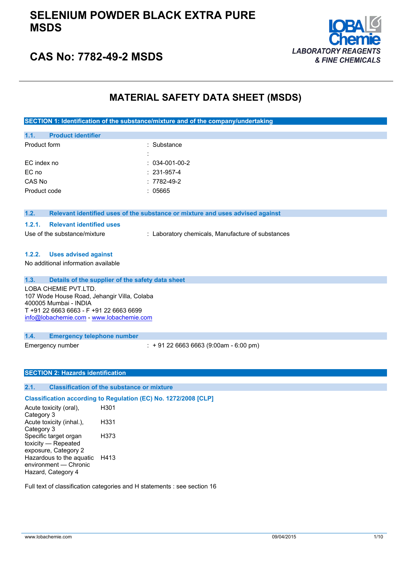# **SELENIUM POWDER BLACK EXTRA PURE MSDS**



# **CAS No: 7782-49-2 MSDS**

# **MATERIAL SAFETY DATA SHEET (MSDS)**

**SECTION 1: Identification of the substance/mixture and of the company/undertaking**

| 1.1.         | <b>Product identifier</b> |                        |
|--------------|---------------------------|------------------------|
| Product form |                           | : Substance            |
|              |                           |                        |
|              | EC index no               | $: 034 - 001 - 00 - 2$ |
| EC no        |                           | $: 231 - 957 - 4$      |
| CAS No       |                           | $: 7782 - 49 - 2$      |
|              | Product code              | : 05665                |
|              |                           |                        |

#### **1.2. Relevant identified uses of the substance or mixture and uses advised against**

#### **1.2.1. Relevant identified uses**

Use of the substance/mixture : Laboratory chemicals, Manufacture of substances

### **1.2.2. Uses advised against**

No additional information available

### **1.3. Details of the supplier of the safety data sheet**

LOBA CHEMIE PVT.LTD. 107 Wode House Road, Jehangir Villa, Colaba 400005 Mumbai - INDIA T +91 22 6663 6663 - F +91 22 6663 6699 [info@lobachemie.com](mailto:info@lobachemie.com) - <www.lobachemie.com>

#### **1.4. Emergency telephone number**

Emergency number : + 91 22 6663 6663 (9:00am - 6:00 pm)

### **SECTION 2: Hazards identification**

### **2.1. Classification of the substance or mixture**

## **Classification according to Regulation (EC) No. 1272/2008 [CLP]**

Acute toxicity (oral), Category 3 H301 Acute toxicity (inhal.), Category 3 H331 Specific target organ toxicity — Repeated exposure, Category 2 H373 Hazardous to the aquatic environment — Chronic Hazard, Category 4 H413

Full text of classification categories and H statements : see section 16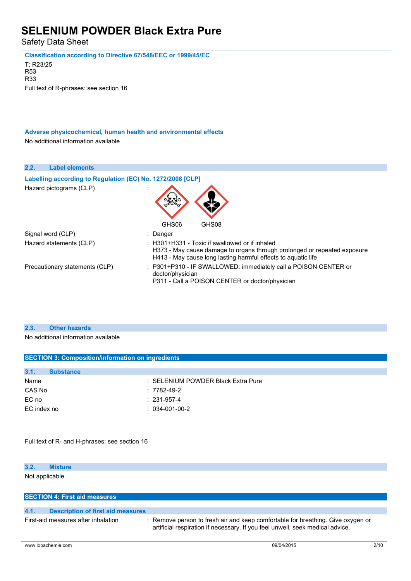Safety Data Sheet

**Classification according to Directive 67/548/EEC or 1999/45/EC** T; R23/25

R53 R33 Full text of R-phrases: see section 16

**Adverse physicochemical, human health and environmental effects** No additional information available

| 2.2.<br><b>Label elements</b>                              |                                                                                                                                                                                                 |
|------------------------------------------------------------|-------------------------------------------------------------------------------------------------------------------------------------------------------------------------------------------------|
| Labelling according to Regulation (EC) No. 1272/2008 [CLP] |                                                                                                                                                                                                 |
| Hazard pictograms (CLP)                                    |                                                                                                                                                                                                 |
|                                                            | GHS06<br>GHS08                                                                                                                                                                                  |
| Signal word (CLP)                                          | : Danger                                                                                                                                                                                        |
| Hazard statements (CLP)                                    | $\pm$ H301+H331 - Toxic if swallowed or if inhaled<br>H373 - May cause damage to organs through prolonged or repeated exposure<br>H413 - May cause long lasting harmful effects to aquatic life |
| Precautionary statements (CLP)                             | : P301+P310 - IF SWALLOWED: immediately call a POISON CENTER or<br>doctor/physician<br>P311 - Call a POISON CENTER or doctor/physician                                                          |

### **2.3. Other hazards**

No additional information available

| <b>SECTION 3: Composition/information on ingredients</b> |                                    |  |
|----------------------------------------------------------|------------------------------------|--|
|                                                          |                                    |  |
| 3.1.<br><b>Substance</b>                                 |                                    |  |
| Name                                                     | : SELENIUM POWDER Black Extra Pure |  |
| CAS No                                                   | $: 7782 - 49 - 2$                  |  |
| EC no                                                    | $: 231 - 957 - 4$                  |  |
| EC index no                                              | $: 034-001-00-2$                   |  |
|                                                          |                                    |  |

Full text of R- and H-phrases: see section 16

### **3.2. Mixture**

Not applicable

## **SECTION 4: First aid measures**

### **4.1. Description of first aid measures**

First-aid measures after inhalation : Remove person to fresh air and keep comfortable for breathing. Give oxygen or artificial respiration if necessary. If you feel unwell, seek medical advice.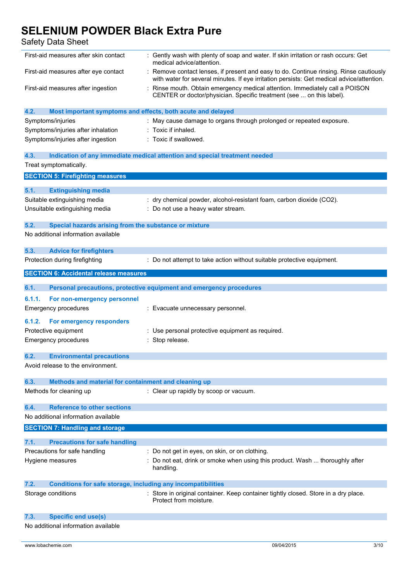| First-aid measures after skin contact                                       | : Gently wash with plenty of soap and water. If skin irritation or rash occurs: Get<br>medical advice/attention.                                                                    |
|-----------------------------------------------------------------------------|-------------------------------------------------------------------------------------------------------------------------------------------------------------------------------------|
| First-aid measures after eye contact                                        | : Remove contact lenses, if present and easy to do. Continue rinsing. Rinse cautiously<br>with water for several minutes. If eye irritation persists: Get medical advice/attention. |
| First-aid measures after ingestion                                          | Rinse mouth. Obtain emergency medical attention. Immediately call a POISON<br>CENTER or doctor/physician. Specific treatment (see  on this label).                                  |
| 4.2.<br>Most important symptoms and effects, both acute and delayed         |                                                                                                                                                                                     |
| Symptoms/injuries                                                           | : May cause damage to organs through prolonged or repeated exposure.                                                                                                                |
| Symptoms/injuries after inhalation                                          | Toxic if inhaled.                                                                                                                                                                   |
| Symptoms/injuries after ingestion                                           | : Toxic if swallowed.                                                                                                                                                               |
| 4.3.<br>Treat symptomatically.                                              | Indication of any immediate medical attention and special treatment needed                                                                                                          |
|                                                                             |                                                                                                                                                                                     |
| <b>SECTION 5: Firefighting measures</b>                                     |                                                                                                                                                                                     |
| 5.1.<br><b>Extinguishing media</b>                                          |                                                                                                                                                                                     |
| Suitable extinguishing media                                                | : dry chemical powder, alcohol-resistant foam, carbon dioxide (CO2).                                                                                                                |
| Unsuitable extinguishing media                                              | Do not use a heavy water stream.                                                                                                                                                    |
|                                                                             |                                                                                                                                                                                     |
| 5.2.<br>Special hazards arising from the substance or mixture               |                                                                                                                                                                                     |
| No additional information available                                         |                                                                                                                                                                                     |
| 5.3.                                                                        |                                                                                                                                                                                     |
| <b>Advice for firefighters</b><br>Protection during firefighting            | : Do not attempt to take action without suitable protective equipment.                                                                                                              |
|                                                                             |                                                                                                                                                                                     |
| <b>SECTION 6: Accidental release measures</b>                               |                                                                                                                                                                                     |
| 6.1.                                                                        | Personal precautions, protective equipment and emergency procedures                                                                                                                 |
| 6.1.1.                                                                      |                                                                                                                                                                                     |
| For non-emergency personnel<br><b>Emergency procedures</b>                  | : Evacuate unnecessary personnel.                                                                                                                                                   |
|                                                                             |                                                                                                                                                                                     |
| 6.1.2.<br>For emergency responders                                          |                                                                                                                                                                                     |
| Protective equipment                                                        | : Use personal protective equipment as required.                                                                                                                                    |
| <b>Emergency procedures</b>                                                 | : Stop release.                                                                                                                                                                     |
| 6.2.<br><b>Environmental precautions</b>                                    |                                                                                                                                                                                     |
| Avoid release to the environment.                                           |                                                                                                                                                                                     |
|                                                                             |                                                                                                                                                                                     |
| 6.3.<br>Methods and material for containment and cleaning up                |                                                                                                                                                                                     |
| Methods for cleaning up                                                     | : Clear up rapidly by scoop or vacuum.                                                                                                                                              |
|                                                                             |                                                                                                                                                                                     |
| <b>Reference to other sections</b><br>6.4.                                  |                                                                                                                                                                                     |
| No additional information available                                         |                                                                                                                                                                                     |
| <b>SECTION 7: Handling and storage</b>                                      |                                                                                                                                                                                     |
| 7.1.<br><b>Precautions for safe handling</b>                                |                                                                                                                                                                                     |
| Precautions for safe handling                                               | : Do not get in eyes, on skin, or on clothing.                                                                                                                                      |
| Hygiene measures                                                            | Do not eat, drink or smoke when using this product. Wash  thoroughly after                                                                                                          |
|                                                                             | handling.                                                                                                                                                                           |
| 7.2.<br><b>Conditions for safe storage, including any incompatibilities</b> |                                                                                                                                                                                     |
| Storage conditions                                                          | Store in original container. Keep container tightly closed. Store in a dry place.<br>Protect from moisture.                                                                         |
| 7.3.<br><b>Specific end use(s)</b>                                          |                                                                                                                                                                                     |
| No additional information available                                         |                                                                                                                                                                                     |
|                                                                             |                                                                                                                                                                                     |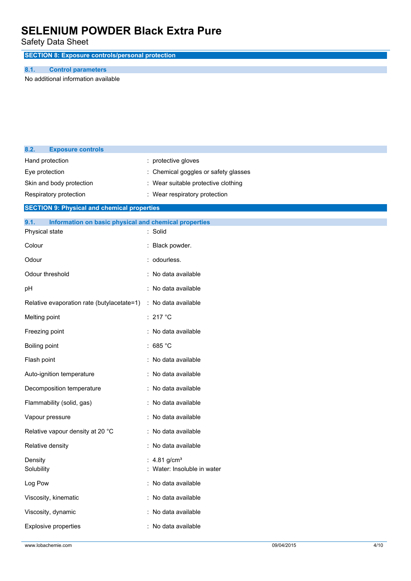Safety Data Sheet

**SECTION 8: Exposure controls/personal protection**

### **8.1. Control parameters**

No additional information available

| 8.2.<br><b>Exposure controls</b>                              |                                     |
|---------------------------------------------------------------|-------------------------------------|
| Hand protection                                               | : protective gloves                 |
| Eye protection                                                | Chemical goggles or safety glasses  |
| Skin and body protection                                      | : Wear suitable protective clothing |
| Respiratory protection                                        | : Wear respiratory protection       |
| <b>SECTION 9: Physical and chemical properties</b>            |                                     |
| 9.1.<br>Information on basic physical and chemical properties |                                     |
| Physical state                                                | : Solid                             |
| Colour                                                        | Black powder.                       |
| Odour                                                         | : odourless.                        |
| Odour threshold                                               | : No data available                 |
| pH                                                            | No data available                   |
| Relative evaporation rate (butylacetate=1)                    | : No data available                 |
| Melting point                                                 | : 217 °C                            |
| Freezing point                                                | : No data available                 |
| Boiling point                                                 | : 685 $^{\circ}$ C                  |
| Flash point                                                   | : No data available                 |
| Auto-ignition temperature                                     | : No data available                 |
| Decomposition temperature                                     | : No data available                 |
| Flammability (solid, gas)                                     | : No data available                 |
| Vapour pressure                                               | No data available                   |
| Relative vapour density at 20 °C                              | : No data available                 |
| Relative density                                              | No data available                   |
| Density                                                       | 4.81 g/cm <sup>3</sup>              |
| Solubility                                                    | : Water: Insoluble in water         |
| Log Pow                                                       | : No data available                 |
| Viscosity, kinematic                                          | : No data available                 |
| Viscosity, dynamic                                            | No data available                   |
| <b>Explosive properties</b>                                   | : No data available                 |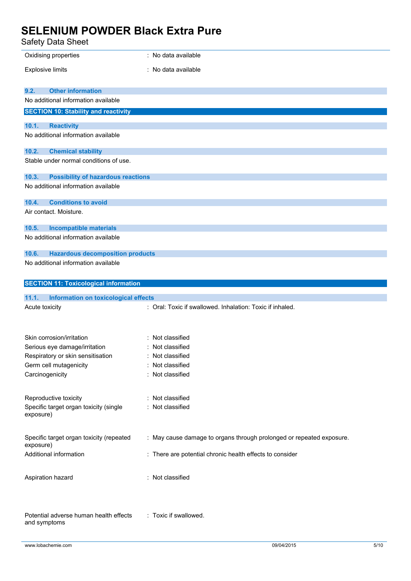| Oxidising properties                                                         | : No data available                                                  |
|------------------------------------------------------------------------------|----------------------------------------------------------------------|
| <b>Explosive limits</b>                                                      | : No data available                                                  |
|                                                                              |                                                                      |
| 9.2.<br><b>Other information</b><br>No additional information available      |                                                                      |
| <b>SECTION 10: Stability and reactivity</b>                                  |                                                                      |
| 10.1.<br><b>Reactivity</b>                                                   |                                                                      |
| No additional information available                                          |                                                                      |
| 10.2.<br><b>Chemical stability</b><br>Stable under normal conditions of use. |                                                                      |
| <b>Possibility of hazardous reactions</b><br>10.3.                           |                                                                      |
| No additional information available                                          |                                                                      |
| <b>Conditions to avoid</b><br>10.4.                                          |                                                                      |
| Air contact. Moisture.                                                       |                                                                      |
| <b>Incompatible materials</b><br>10.5.                                       |                                                                      |
| No additional information available                                          |                                                                      |
| <b>Hazardous decomposition products</b><br>10.6.                             |                                                                      |
| No additional information available                                          |                                                                      |
| <b>SECTION 11: Toxicological information</b>                                 |                                                                      |
| 11.1.<br><b>Information on toxicological effects</b>                         |                                                                      |
| Acute toxicity                                                               | : Oral: Toxic if swallowed. Inhalation: Toxic if inhaled.            |
|                                                                              |                                                                      |
| Skin corrosion/irritation                                                    | : Not classified                                                     |
| Serious eye damage/irritation                                                | : Not classified                                                     |
| Respiratory or skin sensitisation                                            | Not classified                                                       |
| Germ cell mutagenicity                                                       | Not classified                                                       |
| Carcinogenicity                                                              | : Not classified                                                     |
| Reproductive toxicity                                                        | : Not classified                                                     |
| Specific target organ toxicity (single                                       | : Not classified                                                     |
| exposure)                                                                    |                                                                      |
| Specific target organ toxicity (repeated                                     | : May cause damage to organs through prolonged or repeated exposure. |
| exposure)                                                                    |                                                                      |
| Additional information                                                       | : There are potential chronic health effects to consider             |
| Aspiration hazard                                                            | : Not classified                                                     |
| Potential adverse human health effects<br>and symptoms                       | : Toxic if swallowed.                                                |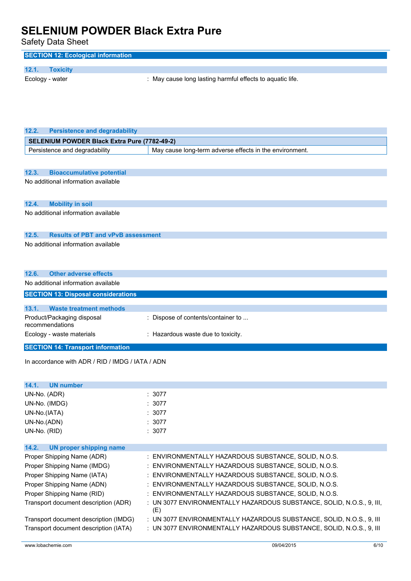| ouiviy Duiu Onooi                                  |                                                                              |  |
|----------------------------------------------------|------------------------------------------------------------------------------|--|
| <b>SECTION 12: Ecological information</b>          |                                                                              |  |
| 12.1.<br><b>Toxicity</b>                           |                                                                              |  |
| Ecology - water                                    | : May cause long lasting harmful effects to aquatic life.                    |  |
|                                                    |                                                                              |  |
|                                                    |                                                                              |  |
|                                                    |                                                                              |  |
|                                                    |                                                                              |  |
|                                                    |                                                                              |  |
| 12.2.<br><b>Persistence and degradability</b>      |                                                                              |  |
| SELENIUM POWDER Black Extra Pure (7782-49-2)       |                                                                              |  |
| Persistence and degradability                      | May cause long-term adverse effects in the environment.                      |  |
|                                                    |                                                                              |  |
| 12.3.<br><b>Bioaccumulative potential</b>          |                                                                              |  |
| No additional information available                |                                                                              |  |
|                                                    |                                                                              |  |
|                                                    |                                                                              |  |
| 12.4.<br><b>Mobility in soil</b>                   |                                                                              |  |
| No additional information available                |                                                                              |  |
|                                                    |                                                                              |  |
| 12.5.<br><b>Results of PBT and vPvB assessment</b> |                                                                              |  |
| No additional information available                |                                                                              |  |
|                                                    |                                                                              |  |
|                                                    |                                                                              |  |
| 12.6.<br><b>Other adverse effects</b>              |                                                                              |  |
| No additional information available                |                                                                              |  |
|                                                    |                                                                              |  |
|                                                    |                                                                              |  |
| <b>SECTION 13: Disposal considerations</b>         |                                                                              |  |
| 13.1.<br><b>Waste treatment methods</b>            |                                                                              |  |
| Product/Packaging disposal                         | : Dispose of contents/container to                                           |  |
| recommendations                                    |                                                                              |  |
| Ecology - waste materials                          | : Hazardous waste due to toxicity.                                           |  |
| <b>SECTION 14: Transport information</b>           |                                                                              |  |
|                                                    |                                                                              |  |
| In accordance with ADR / RID / IMDG / IATA / ADN   |                                                                              |  |
|                                                    |                                                                              |  |
| 14.1.<br><b>UN number</b>                          |                                                                              |  |
| UN-No. (ADR)                                       | : 3077                                                                       |  |
| UN-No. (IMDG)                                      | : 3077                                                                       |  |
| UN-No.(IATA)                                       | : 3077                                                                       |  |
| UN-No.(ADN)                                        | : 3077                                                                       |  |
| UN-No. (RID)                                       | : 3077                                                                       |  |
|                                                    |                                                                              |  |
| 14.2.<br><b>UN proper shipping name</b>            |                                                                              |  |
| Proper Shipping Name (ADR)                         | : ENVIRONMENTALLY HAZARDOUS SUBSTANCE, SOLID, N.O.S.                         |  |
| Proper Shipping Name (IMDG)                        | : ENVIRONMENTALLY HAZARDOUS SUBSTANCE, SOLID, N.O.S.                         |  |
| Proper Shipping Name (IATA)                        | ENVIRONMENTALLY HAZARDOUS SUBSTANCE, SOLID, N.O.S.                           |  |
| Proper Shipping Name (ADN)                         | ENVIRONMENTALLY HAZARDOUS SUBSTANCE, SOLID, N.O.S.                           |  |
| Proper Shipping Name (RID)                         | : ENVIRONMENTALLY HAZARDOUS SUBSTANCE, SOLID, N.O.S.                         |  |
| Transport document description (ADR)               | : UN 3077 ENVIRONMENTALLY HAZARDOUS SUBSTANCE, SOLID, N.O.S., 9, III,<br>(E) |  |
| Transport document description (IMDG)              | : UN 3077 ENVIRONMENTALLY HAZARDOUS SUBSTANCE, SOLID, N.O.S., 9, III         |  |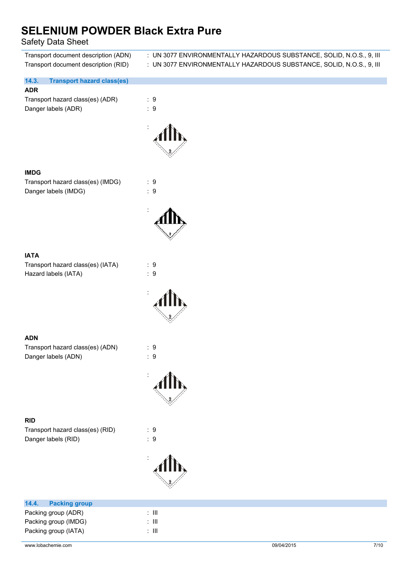| Transport document description (ADN)<br>Transport document description (RID) | : UN 3077 ENVIRONMENTALLY HAZARDOUS SUBSTANCE, SOLID, N.O.S., 9, III<br>: UN 3077 ENVIRONMENTALLY HAZARDOUS SUBSTANCE, SOLID, N.O.S., 9, III |
|------------------------------------------------------------------------------|----------------------------------------------------------------------------------------------------------------------------------------------|
| 14.3.<br><b>Transport hazard class(es)</b>                                   |                                                                                                                                              |
| <b>ADR</b>                                                                   |                                                                                                                                              |
| Transport hazard class(es) (ADR)<br>Danger labels (ADR)                      | : 9<br>$\therefore$ 9                                                                                                                        |
|                                                                              |                                                                                                                                              |
| <b>IMDG</b>                                                                  |                                                                                                                                              |
| Transport hazard class(es) (IMDG)<br>Danger labels (IMDG)                    | $\therefore$ 9<br>$\therefore$ 9                                                                                                             |
|                                                                              |                                                                                                                                              |
|                                                                              |                                                                                                                                              |
| <b>IATA</b><br>Transport hazard class(es) (IATA)<br>Hazard labels (IATA)     | : 9<br>$\therefore$ 9                                                                                                                        |
|                                                                              |                                                                                                                                              |
| <b>ADN</b>                                                                   |                                                                                                                                              |
| Transport hazard class(es) (ADN)<br>Danger labels (ADN)                      | : 9<br>$\therefore$ 9                                                                                                                        |
|                                                                              |                                                                                                                                              |
|                                                                              |                                                                                                                                              |
| <b>RID</b><br>Transport hazard class(es) (RID)                               | $\therefore$ 9                                                                                                                               |
| Danger labels (RID)                                                          | $\therefore$ 9                                                                                                                               |
|                                                                              |                                                                                                                                              |
| 14.4.<br><b>Packing group</b>                                                |                                                                                                                                              |
| Packing group (ADR)                                                          | $\colon$ III                                                                                                                                 |
| Packing group (IMDG)                                                         | $\colon$ III                                                                                                                                 |
| Packing group (IATA)                                                         | $\colon$ III                                                                                                                                 |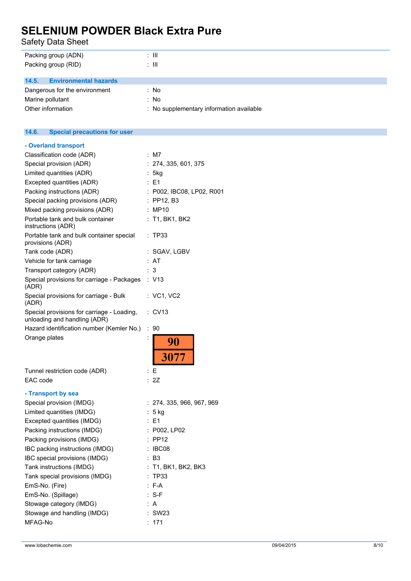| Packing group (ADN)                          | $\therefore$ III                         |  |  |
|----------------------------------------------|------------------------------------------|--|--|
| Packing group (RID)                          | $\therefore$ III.                        |  |  |
|                                              |                                          |  |  |
| <b>Environmental hazards</b><br>14.5.        |                                          |  |  |
| Dangerous for the environment                | : No                                     |  |  |
| Marine pollutant                             | : No                                     |  |  |
| Other information                            | : No supplementary information available |  |  |
|                                              |                                          |  |  |
|                                              |                                          |  |  |
| <b>Special precautions for user</b><br>14.6. |                                          |  |  |
| - Overland transport                         |                                          |  |  |
| Classification code (ADR)                    | : M7                                     |  |  |
| Special provision (ADR)                      | : 274, 335, 601, 375                     |  |  |
| Limited quantities (ADR)                     | : 5kg                                    |  |  |
|                                              |                                          |  |  |

| Opecial provision (ADR)                                                    | . 274, JJJ, UUT, J7J      |
|----------------------------------------------------------------------------|---------------------------|
| Limited quantities (ADR)                                                   | 5kg                       |
| Excepted quantities (ADR)                                                  | E1<br>t.                  |
| Packing instructions (ADR)                                                 | : P002, IBC08, LP02, R001 |
| Special packing provisions (ADR)                                           | $:$ PP12, B3              |
| Mixed packing provisions (ADR)                                             | : MP10                    |
| Portable tank and bulk container<br>instructions (ADR)                     | $:$ T1, BK1, BK2          |
| Portable tank and bulk container special<br>provisions (ADR)               | : TP33                    |
| Tank code (ADR)                                                            | :SGAV, LGBV               |
| Vehicle for tank carriage                                                  | AT                        |
| Transport category (ADR)                                                   | 3                         |
| Special provisions for carriage - Packages<br>(ADR)                        | : V13                     |
| Special provisions for carriage - Bulk<br>(ADR)                            | : VC1, VC2                |
| Special provisions for carriage - Loading,<br>unloading and handling (ADR) | : CV13                    |
| Hazard identification number (Kemler No.)                                  | ÷<br>90                   |
| Orange plates                                                              | :<br>90<br>3077           |
| Tunnel restriction code (ADR)                                              | : E                       |
| EAC code                                                                   | : 2Z                      |
| - Transport by sea                                                         |                           |
| Special provision (IMDG)                                                   | : 274, 335, 966, 967, 969 |
| Limited quantities (IMDG)                                                  | $: 5$ kg                  |
| Excepted quantities (IMDG)                                                 | $E = 1$                   |
| Packing instructions (IMDG)                                                | : P002, LP02              |
| Packing provisions (IMDG)                                                  | <b>PP12</b>               |
| IBC packing instructions (IMDG)                                            | IBC08                     |
| IBC special provisions (IMDG)                                              | : B3                      |
| Tank instructions (IMDG)                                                   | : T1, BK1, BK2, BK3       |
| Tank special provisions (IMDG)                                             | <b>TP33</b>               |
| EmS-No. (Fire)                                                             | F-A                       |
| EmS-No. (Spillage)                                                         | $: S-F$                   |
| Stowage category (IMDG)                                                    | : A                       |
| Stowage and handling (IMDG)                                                | <b>SW23</b>               |
| MFAG-No                                                                    | : 171                     |
|                                                                            |                           |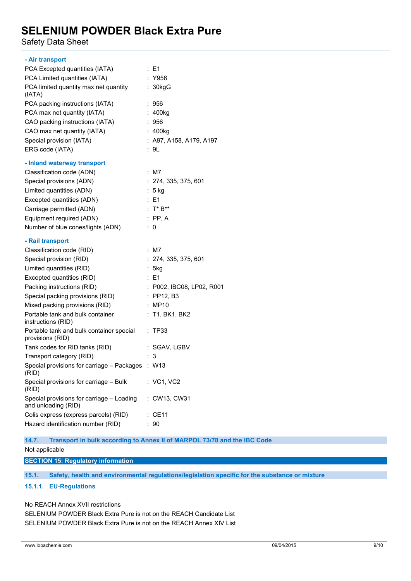Safety Data Sheet

| $\therefore$ E1                                  |
|--------------------------------------------------|
| : Y956                                           |
| : 30kgG                                          |
| :956                                             |
| : 400kg                                          |
| : 956                                            |
| : 400kg                                          |
| : A97, A158, A179, A197                          |
| : 9L                                             |
|                                                  |
| $:$ M7                                           |
| : 274, 335, 375, 601                             |
| ∶5 kg                                            |
| : E1                                             |
| : $T^* B^{**}$                                   |
| $:$ PP, A                                        |
| $\therefore$ 0                                   |
|                                                  |
| $:$ M7                                           |
| : 274, 335, 375, 601                             |
| : 5kg                                            |
|                                                  |
| $\therefore$ E1                                  |
| : P002, IBC08, LP02, R001                        |
| $\therefore$ PP12, B3                            |
| : MP10                                           |
| $:$ T1, BK1, BK2                                 |
| : TP33                                           |
| : SGAV, LGBV                                     |
| 3                                                |
| Special provisions for carriage - Packages : W13 |
| : VC1, VC2                                       |
| : CW13, CW31                                     |
| $\therefore$ CE11                                |
|                                                  |

**14.7. Transport in bulk according to Annex II of MARPOL 73/78 and the IBC Code**

Not applicable

**SECTION 15: Regulatory information**

**15.1. Safety, health and environmental regulations/legislation specific for the substance or mixture**

### **15.1.1. EU-Regulations**

No REACH Annex XVII restrictions

SELENIUM POWDER Black Extra Pure is not on the REACH Candidate List SELENIUM POWDER Black Extra Pure is not on the REACH Annex XIV List